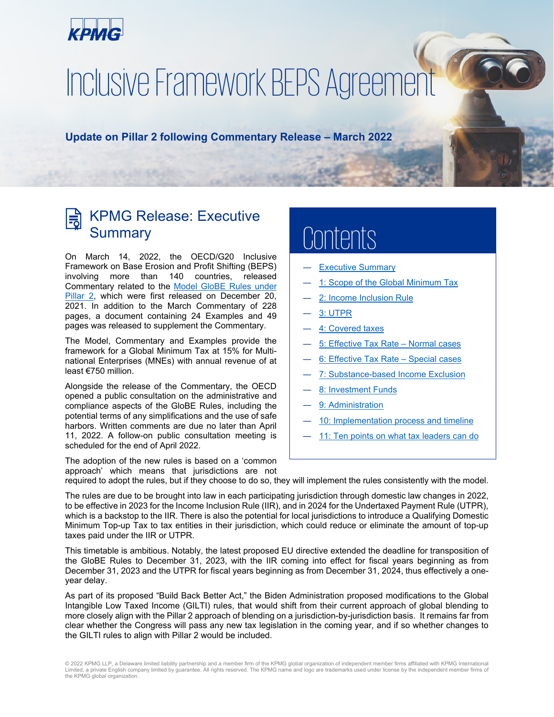<span id="page-0-0"></span>

# <span id="page-0-1"></span>Inclusive Framework BEPS Agreement

**Update on Pillar 2 following Commentary Release – March 2022**

# KPMG Release: Executive **Summary**

On March 14, 2022, the OECD/G20 Inclusive Framework on Base Erosion and Profit Shifting (BEPS) involving more than 140 countries, released Commentary related to the [Model GloBE](https://home.kpmg/xx/en/home/insights/2021/12/inclusive-framework-beps-agreement-20-december-2021.html) Rules under [Pillar 2,](https://home.kpmg/xx/en/home/insights/2021/12/inclusive-framework-beps-agreement-20-december-2021.html) which were first released on December 20, 2021. In addition to the March Commentary of 228 pages, a document containing 24 Examples and 49 pages was released to supplement the Commentary.

The Model, Commentary and Examples provide the framework for a Global Minimum Tax at 15% for Multinational Enterprises (MNEs) with annual revenue of at least €750 million.

Alongside the release of the Commentary, the OECD opened a public consultation on the administrative and compliance aspects of the GloBE Rules, including the potential terms of any simplifications and the use of safe harbors. Written comments are due no later than April 11, 2022. A follow-on public consultation meeting is scheduled for the end of April 2022.

# ents

- **[Executive Summary](#page-0-0)**
- [1: Scope of the Global Minimum Tax](#page-1-0)
- [2: Income Inclusion Rule](#page-2-0)
- ― [3: UTPR](#page-3-0)
- **[4: Covered taxes](#page-5-0)**
- ― [5: Effective Tax Rate](#page-7-0) Normal cases
- 6: Effective Tax Rate Special cases
- ― [7: Substance-based](#page-12-0) Income Exclusion
- ― [8: Investment Funds](#page-14-0)
- [9: Administration](#page-15-0)
- [10: Implementation process and timeline](#page-17-0)
- [11: Ten points on what tax leaders can do](#page-18-0)

The adoption of the new rules is based on a 'common approach' which means that jurisdictions are not

required to adopt the rules, but if they choose to do so, they will implement the rules consistently with the model.

The rules are due to be brought into law in each participating jurisdiction through domestic law changes in 2022, to be effective in 2023 for the Income Inclusion Rule (IIR), and in 2024 for the Undertaxed Payment Rule (UTPR), which is a backstop to the IIR. There is also the potential for local jurisdictions to introduce a Qualifying Domestic Minimum Top-up Tax to tax entities in their jurisdiction, which could reduce or eliminate the amount of top-up taxes paid under the IIR or UTPR.

This timetable is ambitious. Notably, the latest proposed EU directive extended the deadline for transposition of the GloBE Rules to December 31, 2023, with the IIR coming into effect for fiscal years beginning as from December 31, 2023 and the UTPR for fiscal years beginning as from December 31, 2024, thus effectively a oneyear delay.

As part of its proposed "Build Back Better Act," the Biden Administration proposed modifications to the Global Intangible Low Taxed Income (GILTI) rules, that would shift from their current approach of global blending to more closely align with the Pillar 2 approach of blending on a jurisdiction-by-jurisdiction basis. It remains far from clear whether the Congress will pass any new tax legislation in the coming year, and if so whether changes to the GILTI rules to align with Pillar 2 would be included.

<sup>© 2022</sup> KPMG LLP, a Delaware limited liability partnership and a member firm of the KPMG global organization of independent member firms affiliated with KPMG International Limited, a private English company limited by guarantee. All rights reserved. The KPMG name and logo are trademarks used under license by the independent member firms of the KPMG global organization.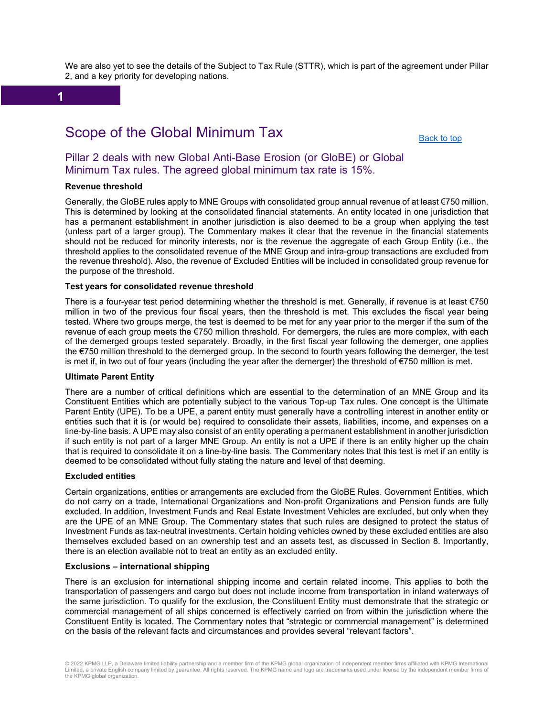We are also yet to see the details of the Subject to Tax Rule (STTR), which is part of the agreement under Pillar 2, and a key priority for developing nations.

**1**

# Scope of the Global Minimum Tax

[Back to top](#page-0-0)

#### <span id="page-1-0"></span>Pillar 2 deals with new Global Anti-Base Erosion (or GloBE) or Global Minimum Tax rules. The agreed global minimum tax rate is 15%.

#### **Revenue threshold**

Generally, the GloBE rules apply to MNE Groups with consolidated group annual revenue of at least €750 million. This is determined by looking at the consolidated financial statements. An entity located in one jurisdiction that has a permanent establishment in another jurisdiction is also deemed to be a group when applying the test (unless part of a larger group). The Commentary makes it clear that the revenue in the financial statements should not be reduced for minority interests, nor is the revenue the aggregate of each Group Entity (i.e., the threshold applies to the consolidated revenue of the MNE Group and intra-group transactions are excluded from the revenue threshold). Also, the revenue of Excluded Entities will be included in consolidated group revenue for the purpose of the threshold.

#### **Test years for consolidated revenue threshold**

There is a four-year test period determining whether the threshold is met. Generally, if revenue is at least €750 million in two of the previous four fiscal years, then the threshold is met. This excludes the fiscal year being tested. Where two groups merge, the test is deemed to be met for any year prior to the merger if the sum of the revenue of each group meets the €750 million threshold. For demergers, the rules are more complex, with each of the demerged groups tested separately. Broadly, in the first fiscal year following the demerger, one applies the €750 million threshold to the demerged group. In the second to fourth years following the demerger, the test is met if, in two out of four years (including the year after the demerger) the threshold of €750 million is met.

#### **Ultimate Parent Entity**

There are a number of critical definitions which are essential to the determination of an MNE Group and its Constituent Entities which are potentially subject to the various Top-up Tax rules. One concept is the Ultimate Parent Entity (UPE). To be a UPE, a parent entity must generally have a controlling interest in another entity or entities such that it is (or would be) required to consolidate their assets, liabilities, income, and expenses on a line-by-line basis. A UPE may also consist of an entity operating a permanent establishment in another jurisdiction if such entity is not part of a larger MNE Group. An entity is not a UPE if there is an entity higher up the chain that is required to consolidate it on a line-by-line basis. The Commentary notes that this test is met if an entity is deemed to be consolidated without fully stating the nature and level of that deeming.

#### **Excluded entities**

Certain organizations, entities or arrangements are excluded from the GloBE Rules. Government Entities, which do not carry on a trade, International Organizations and Non-profit Organizations and Pension funds are fully excluded. In addition, Investment Funds and Real Estate Investment Vehicles are excluded, but only when they are the UPE of an MNE Group. The Commentary states that such rules are designed to protect the status of Investment Funds as tax-neutral investments. Certain holding vehicles owned by these excluded entities are also themselves excluded based on an ownership test and an assets test, as discussed in Section 8. Importantly, there is an election available not to treat an entity as an excluded entity.

#### **Exclusions – international shipping**

There is an exclusion for international shipping income and certain related income. This applies to both the transportation of passengers and cargo but does not include income from transportation in inland waterways of the same jurisdiction. To qualify for the exclusion, the Constituent Entity must demonstrate that the strategic or commercial management of all ships concerned is effectively carried on from within the jurisdiction where the Constituent Entity is located. The Commentary notes that "strategic or commercial management" is determined on the basis of the relevant facts and circumstances and provides several "relevant factors".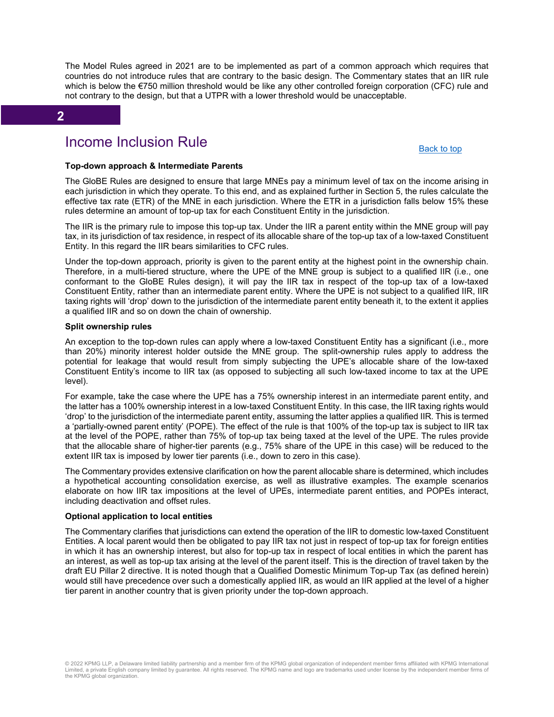The Model Rules agreed in 2021 are to be implemented as part of a common approach which requires that countries do not introduce rules that are contrary to the basic design. The Commentary states that an IIR rule which is below the €750 million threshold would be like any other controlled foreign corporation (CFC) rule and not contrary to the design, but that a UTPR with a lower threshold would be unacceptable.

#### **2**

### Income Inclusion Rule

[Back to top](#page-0-0)

#### <span id="page-2-0"></span>**Top-down approach & Intermediate Parents**

The GloBE Rules are designed to ensure that large MNEs pay a minimum level of tax on the income arising in each jurisdiction in which they operate. To this end, and as explained further in Section 5, the rules calculate the effective tax rate (ETR) of the MNE in each jurisdiction. Where the ETR in a jurisdiction falls below 15% these rules determine an amount of top-up tax for each Constituent Entity in the jurisdiction.

The IIR is the primary rule to impose this top-up tax. Under the IIR a parent entity within the MNE group will pay tax, in its jurisdiction of tax residence, in respect of its allocable share of the top-up tax of a low-taxed Constituent Entity. In this regard the IIR bears similarities to CFC rules.

Under the top-down approach, priority is given to the parent entity at the highest point in the ownership chain. Therefore, in a multi-tiered structure, where the UPE of the MNE group is subject to a qualified IIR (i.e., one conformant to the GloBE Rules design), it will pay the IIR tax in respect of the top-up tax of a low-taxed Constituent Entity, rather than an intermediate parent entity. Where the UPE is not subject to a qualified IIR, IIR taxing rights will 'drop' down to the jurisdiction of the intermediate parent entity beneath it, to the extent it applies a qualified IIR and so on down the chain of ownership.

#### **Split ownership rules**

An exception to the top-down rules can apply where a low-taxed Constituent Entity has a significant (i.e., more than 20%) minority interest holder outside the MNE group. The split-ownership rules apply to address the potential for leakage that would result from simply subjecting the UPE's allocable share of the low-taxed Constituent Entity's income to IIR tax (as opposed to subjecting all such low-taxed income to tax at the UPE level).

For example, take the case where the UPE has a 75% ownership interest in an intermediate parent entity, and the latter has a 100% ownership interest in a low-taxed Constituent Entity. In this case, the IIR taxing rights would 'drop' to the jurisdiction of the intermediate parent entity, assuming the latter applies a qualified IIR. This is termed a 'partially-owned parent entity' (POPE). The effect of the rule is that 100% of the top-up tax is subject to IIR tax at the level of the POPE, rather than 75% of top-up tax being taxed at the level of the UPE. The rules provide that the allocable share of higher-tier parents (e.g., 75% share of the UPE in this case) will be reduced to the extent IIR tax is imposed by lower tier parents (i.e., down to zero in this case).

The Commentary provides extensive clarification on how the parent allocable share is determined, which includes a hypothetical accounting consolidation exercise, as well as illustrative examples. The example scenarios elaborate on how IIR tax impositions at the level of UPEs, intermediate parent entities, and POPEs interact, including deactivation and offset rules.

#### **Optional application to local entities**

The Commentary clarifies that jurisdictions can extend the operation of the IIR to domestic low-taxed Constituent Entities. A local parent would then be obligated to pay IIR tax not just in respect of top-up tax for foreign entities in which it has an ownership interest, but also for top-up tax in respect of local entities in which the parent has an interest, as well as top-up tax arising at the level of the parent itself. This is the direction of travel taken by the draft EU Pillar 2 directive. It is noted though that a Qualified Domestic Minimum Top-up Tax (as defined herein) would still have precedence over such a domestically applied IIR, as would an IIR applied at the level of a higher tier parent in another country that is given priority under the top-down approach.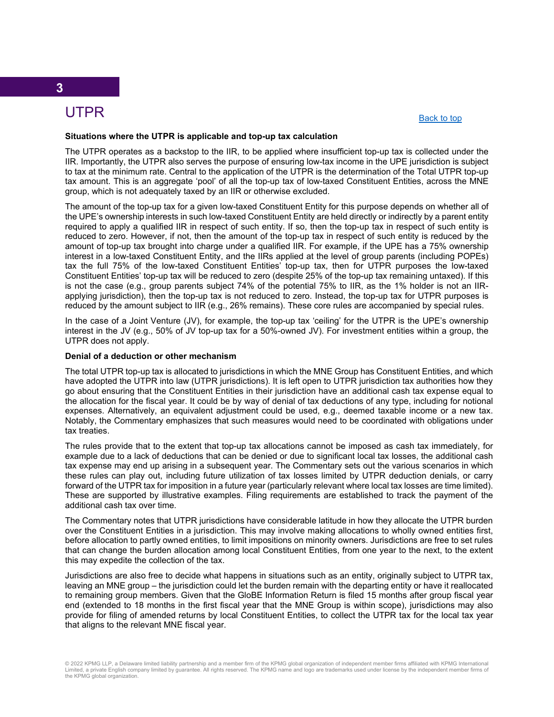# UTPR

#### [Back to top](#page-0-0)

#### <span id="page-3-0"></span>**Situations where the UTPR is applicable and top-up tax calculation**

The UTPR operates as a backstop to the IIR, to be applied where insufficient top-up tax is collected under the IIR. Importantly, the UTPR also serves the purpose of ensuring low-tax income in the UPE jurisdiction is subject to tax at the minimum rate. Central to the application of the UTPR is the determination of the Total UTPR top-up tax amount. This is an aggregate 'pool' of all the top-up tax of low-taxed Constituent Entities, across the MNE group, which is not adequately taxed by an IIR or otherwise excluded.

The amount of the top-up tax for a given low-taxed Constituent Entity for this purpose depends on whether all of the UPE's ownership interests in such low-taxed Constituent Entity are held directly or indirectly by a parent entity required to apply a qualified IIR in respect of such entity. If so, then the top-up tax in respect of such entity is reduced to zero. However, if not, then the amount of the top-up tax in respect of such entity is reduced by the amount of top-up tax brought into charge under a qualified IIR. For example, if the UPE has a 75% ownership interest in a low-taxed Constituent Entity, and the IIRs applied at the level of group parents (including POPEs) tax the full 75% of the low-taxed Constituent Entities' top-up tax, then for UTPR purposes the low-taxed Constituent Entities' top-up tax will be reduced to zero (despite 25% of the top-up tax remaining untaxed). If this is not the case (e.g., group parents subject 74% of the potential 75% to IIR, as the 1% holder is not an IIRapplying jurisdiction), then the top-up tax is not reduced to zero. Instead, the top-up tax for UTPR purposes is reduced by the amount subject to IIR (e.g., 26% remains). These core rules are accompanied by special rules.

In the case of a Joint Venture (JV), for example, the top-up tax 'ceiling' for the UTPR is the UPE's ownership interest in the JV (e.g., 50% of JV top-up tax for a 50%-owned JV). For investment entities within a group, the UTPR does not apply.

#### **Denial of a deduction or other mechanism**

The total UTPR top-up tax is allocated to jurisdictions in which the MNE Group has Constituent Entities, and which have adopted the UTPR into law (UTPR jurisdictions). It is left open to UTPR jurisdiction tax authorities how they go about ensuring that the Constituent Entities in their jurisdiction have an additional cash tax expense equal to the allocation for the fiscal year. It could be by way of denial of tax deductions of any type, including for notional expenses. Alternatively, an equivalent adjustment could be used, e.g., deemed taxable income or a new tax. Notably, the Commentary emphasizes that such measures would need to be coordinated with obligations under tax treaties.

The rules provide that to the extent that top-up tax allocations cannot be imposed as cash tax immediately, for example due to a lack of deductions that can be denied or due to significant local tax losses, the additional cash tax expense may end up arising in a subsequent year. The Commentary sets out the various scenarios in which these rules can play out, including future utilization of tax losses limited by UTPR deduction denials, or carry forward of the UTPR tax for imposition in a future year (particularly relevant where local tax losses are time limited). These are supported by illustrative examples. Filing requirements are established to track the payment of the additional cash tax over time.

The Commentary notes that UTPR jurisdictions have considerable latitude in how they allocate the UTPR burden over the Constituent Entities in a jurisdiction. This may involve making allocations to wholly owned entities first, before allocation to partly owned entities, to limit impositions on minority owners. Jurisdictions are free to set rules that can change the burden allocation among local Constituent Entities, from one year to the next, to the extent this may expedite the collection of the tax.

Jurisdictions are also free to decide what happens in situations such as an entity, originally subject to UTPR tax, leaving an MNE group – the jurisdiction could let the burden remain with the departing entity or have it reallocated to remaining group members. Given that the GloBE Information Return is filed 15 months after group fiscal year end (extended to 18 months in the first fiscal year that the MNE Group is within scope), jurisdictions may also provide for filing of amended returns by local Constituent Entities, to collect the UTPR tax for the local tax year that aligns to the relevant MNE fiscal year.

<sup>© 2022</sup> KPMG LLP, a Delaware limited liability partnership and a member firm of the KPMG global organization of independent member firms affiliated with KPMG International Limited, a private English company limited by guarantee. All rights reserved. The KPMG name and logo are trademarks used under license by the independent member firms of the KPMG global organization.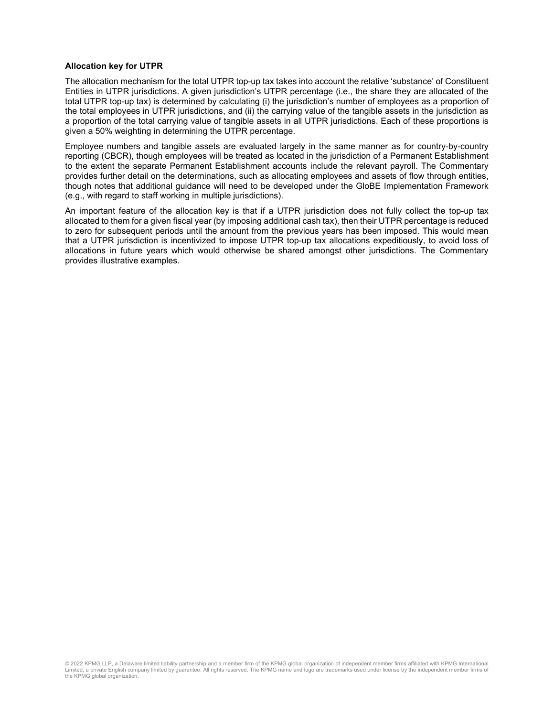#### **Allocation key for UTPR**

The allocation mechanism for the total UTPR top-up tax takes into account the relative 'substance' of Constituent Entities in UTPR jurisdictions. A given jurisdiction's UTPR percentage (i.e., the share they are allocated of the total UTPR top-up tax) is determined by calculating (i) the jurisdiction's number of employees as a proportion of the total employees in UTPR jurisdictions, and (ii) the carrying value of the tangible assets in the jurisdiction as a proportion of the total carrying value of tangible assets in all UTPR jurisdictions. Each of these proportions is given a 50% weighting in determining the UTPR percentage.

Employee numbers and tangible assets are evaluated largely in the same manner as for country-by-country reporting (CBCR), though employees will be treated as located in the jurisdiction of a Permanent Establishment to the extent the separate Permanent Establishment accounts include the relevant payroll. The Commentary provides further detail on the determinations, such as allocating employees and assets of flow through entities, though notes that additional guidance will need to be developed under the GloBE Implementation Framework (e.g., with regard to staff working in multiple jurisdictions).

An important feature of the allocation key is that if a UTPR jurisdiction does not fully collect the top-up tax allocated to them for a given fiscal year (by imposing additional cash tax), then their UTPR percentage is reduced to zero for subsequent periods until the amount from the previous years has been imposed. This would mean that a UTPR jurisdiction is incentivized to impose UTPR top-up tax allocations expeditiously, to avoid loss of allocations in future years which would otherwise be shared amongst other jurisdictions. The Commentary provides illustrative examples.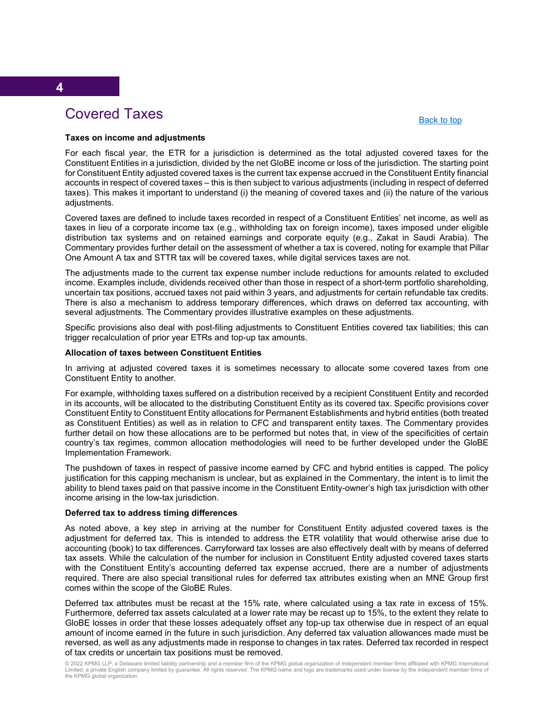# Covered Taxes

#### [Back to top](#page-0-0)

#### <span id="page-5-0"></span>**Taxes on income and adjustments**

For each fiscal year, the ETR for a jurisdiction is determined as the total adjusted covered taxes for the Constituent Entities in a jurisdiction, divided by the net GloBE income or loss of the jurisdiction. The starting point for Constituent Entity adjusted covered taxes is the current tax expense accrued in the Constituent Entity financial accounts in respect of covered taxes – this is then subject to various adjustments (including in respect of deferred taxes). This makes it important to understand (i) the meaning of covered taxes and (ii) the nature of the various adjustments.

Covered taxes are defined to include taxes recorded in respect of a Constituent Entities' net income, as well as taxes in lieu of a corporate income tax (e.g., withholding tax on foreign income), taxes imposed under eligible distribution tax systems and on retained earnings and corporate equity (e.g., Zakat in Saudi Arabia). The Commentary provides further detail on the assessment of whether a tax is covered, noting for example that Pillar One Amount A tax and STTR tax will be covered taxes, while digital services taxes are not.

The adjustments made to the current tax expense number include reductions for amounts related to excluded income. Examples include, dividends received other than those in respect of a short-term portfolio shareholding, uncertain tax positions, accrued taxes not paid within 3 years, and adjustments for certain refundable tax credits. There is also a mechanism to address temporary differences, which draws on deferred tax accounting, with several adjustments. The Commentary provides illustrative examples on these adjustments.

Specific provisions also deal with post-filing adjustments to Constituent Entities covered tax liabilities; this can trigger recalculation of prior year ETRs and top-up tax amounts.

#### **Allocation of taxes between Constituent Entities**

In arriving at adjusted covered taxes it is sometimes necessary to allocate some covered taxes from one Constituent Entity to another.

For example, withholding taxes suffered on a distribution received by a recipient Constituent Entity and recorded in its accounts, will be allocated to the distributing Constituent Entity as its covered tax. Specific provisions cover Constituent Entity to Constituent Entity allocations for Permanent Establishments and hybrid entities (both treated as Constituent Entities) as well as in relation to CFC and transparent entity taxes. The Commentary provides further detail on how these allocations are to be performed but notes that, in view of the specificities of certain country's tax regimes, common allocation methodologies will need to be further developed under the GloBE Implementation Framework.

The pushdown of taxes in respect of passive income earned by CFC and hybrid entities is capped. The policy justification for this capping mechanism is unclear, but as explained in the Commentary, the intent is to limit the ability to blend taxes paid on that passive income in the Constituent Entity-owner's high tax jurisdiction with other income arising in the low-tax jurisdiction.

#### **Deferred tax to address timing differences**

As noted above, a key step in arriving at the number for Constituent Entity adjusted covered taxes is the adjustment for deferred tax. This is intended to address the ETR volatility that would otherwise arise due to accounting (book) to tax differences. Carryforward tax losses are also effectively dealt with by means of deferred tax assets. While the calculation of the number for inclusion in Constituent Entity adjusted covered taxes starts with the Constituent Entity's accounting deferred tax expense accrued, there are a number of adjustments required. There are also special transitional rules for deferred tax attributes existing when an MNE Group first comes within the scope of the GloBE Rules.

Deferred tax attributes must be recast at the 15% rate, where calculated using a tax rate in excess of 15%. Furthermore, deferred tax assets calculated at a lower rate may be recast up to 15%, to the extent they relate to GloBE losses in order that these losses adequately offset any top-up tax otherwise due in respect of an equal amount of income earned in the future in such jurisdiction. Any deferred tax valuation allowances made must be reversed, as well as any adjustments made in response to changes in tax rates. Deferred tax recorded in respect of tax credits or uncertain tax positions must be removed.

© 2022 KPMG LLP, a Delaware limited liability partnership and a member firm of the KPMG global organization of independent member firms affiliated with KPMG International Limited, a private English company limited by guarantee. All rights reserved. The KPMG name and logo are trademarks used under license by the independent member firms of the KPMG global organization.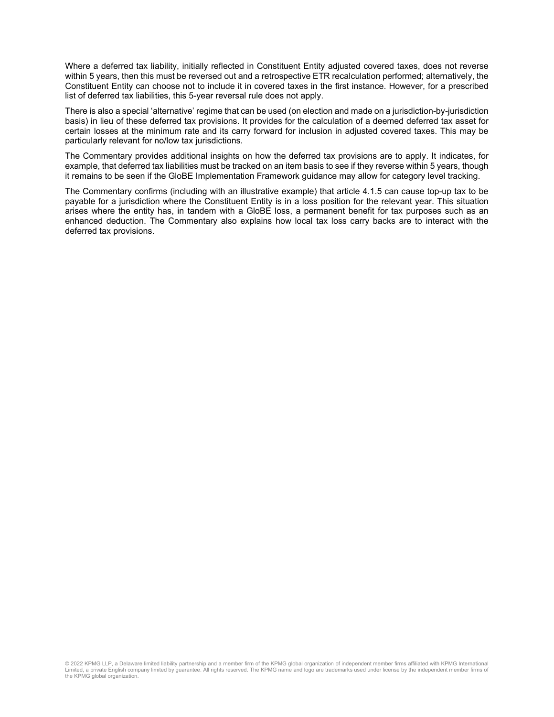Where a deferred tax liability, initially reflected in Constituent Entity adjusted covered taxes, does not reverse within 5 years, then this must be reversed out and a retrospective ETR recalculation performed; alternatively, the Constituent Entity can choose not to include it in covered taxes in the first instance. However, for a prescribed list of deferred tax liabilities, this 5-year reversal rule does not apply.

There is also a special 'alternative' regime that can be used (on election and made on a jurisdiction-by-jurisdiction basis) in lieu of these deferred tax provisions. It provides for the calculation of a deemed deferred tax asset for certain losses at the minimum rate and its carry forward for inclusion in adjusted covered taxes. This may be particularly relevant for no/low tax jurisdictions.

The Commentary provides additional insights on how the deferred tax provisions are to apply. It indicates, for example, that deferred tax liabilities must be tracked on an item basis to see if they reverse within 5 years, though it remains to be seen if the GloBE Implementation Framework guidance may allow for category level tracking.

The Commentary confirms (including with an illustrative example) that article 4.1.5 can cause top-up tax to be payable for a jurisdiction where the Constituent Entity is in a loss position for the relevant year. This situation arises where the entity has, in tandem with a GloBE loss, a permanent benefit for tax purposes such as an enhanced deduction. The Commentary also explains how local tax loss carry backs are to interact with the deferred tax provisions.

© 2022 KPMG LLP, a Delaware limited liability partnership and a member firm of the KPMG global organization of independent member firms affiliated with KPMG International Limited, a private English company limited by guarantee. All rights reserved. The KPMG name and logo are trademarks used under license by the independent member firms of the KPMG global organization.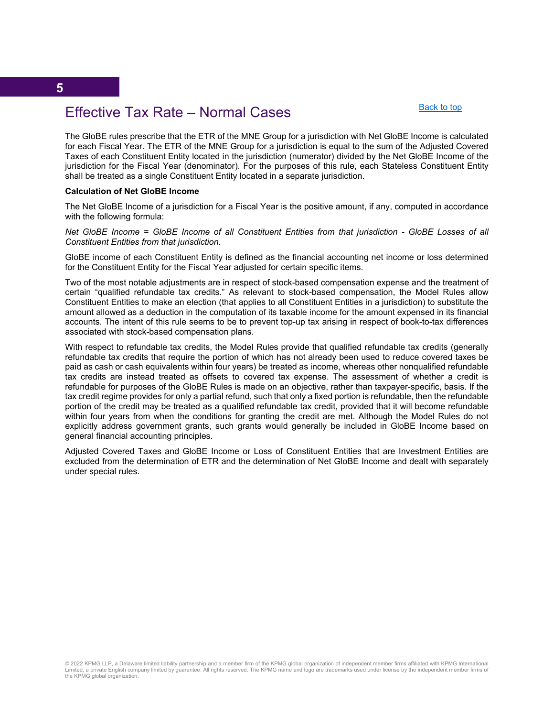#### [Back to top](#page-0-0)

# <span id="page-7-0"></span>Effective Tax Rate – Normal Cases

The GloBE rules prescribe that the ETR of the MNE Group for a jurisdiction with Net GloBE Income is calculated for each Fiscal Year. The ETR of the MNE Group for a jurisdiction is equal to the sum of the Adjusted Covered Taxes of each Constituent Entity located in the jurisdiction (numerator) divided by the Net GloBE Income of the jurisdiction for the Fiscal Year (denominator). For the purposes of this rule, each Stateless Constituent Entity shall be treated as a single Constituent Entity located in a separate jurisdiction.

#### **Calculation of Net GloBE Income**

The Net GloBE lncome of a jurisdiction for a Fiscal Year is the positive amount, if any, computed in accordance with the following formula:

*Net GloBE Income = GloBE Income of all Constituent Entities from that jurisdiction - GloBE Losses of all Constituent Entities from that jurisdiction.*

GloBE income of each Constituent Entity is defined as the financial accounting net income or loss determined for the Constituent Entity for the Fiscal Year adjusted for certain specific items.

Two of the most notable adjustments are in respect of stock-based compensation expense and the treatment of certain "qualified refundable tax credits." As relevant to stock-based compensation, the Model Rules allow Constituent Entities to make an election (that applies to all Constituent Entities in a jurisdiction) to substitute the amount allowed as a deduction in the computation of its taxable income for the amount expensed in its financial accounts. The intent of this rule seems to be to prevent top-up tax arising in respect of book-to-tax differences associated with stock-based compensation plans.

With respect to refundable tax credits, the Model Rules provide that qualified refundable tax credits (generally refundable tax credits that require the portion of which has not already been used to reduce covered taxes be paid as cash or cash equivalents within four years) be treated as income, whereas other nonqualified refundable tax credits are instead treated as offsets to covered tax expense. The assessment of whether a credit is refundable for purposes of the GloBE Rules is made on an objective, rather than taxpayer-specific, basis. If the tax credit regime provides for only a partial refund, such that only a fixed portion is refundable, then the refundable portion of the credit may be treated as a qualified refundable tax credit, provided that it will become refundable within four years from when the conditions for granting the credit are met. Although the Model Rules do not explicitly address government grants, such grants would generally be included in GloBE Income based on general financial accounting principles.

Adjusted Covered Taxes and GloBE Income or Loss of Constituent Entities that are Investment Entities are excluded from the determination of ETR and the determination of Net GloBE Income and dealt with separately under special rules.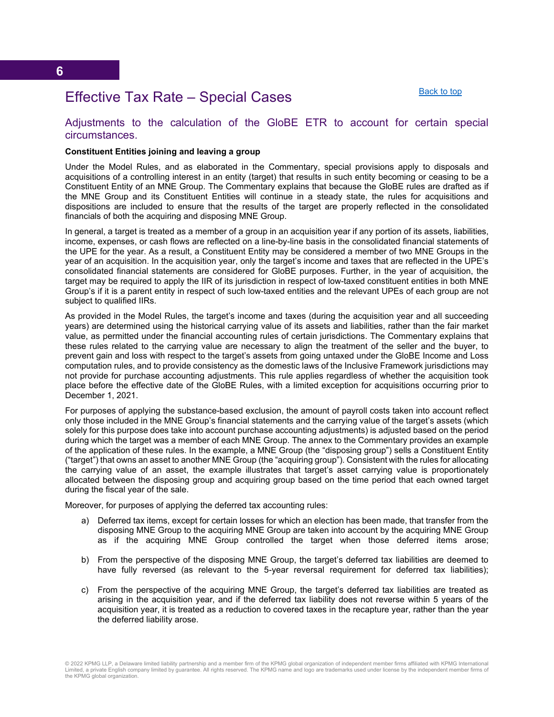[Back to top](#page-0-0)

## <span id="page-8-0"></span>Effective Tax Rate – Special Cases

#### Adjustments to the calculation of the GloBE ETR to account for certain special circumstances.

#### **Constituent Entities joining and leaving a group**

Under the Model Rules, and as elaborated in the Commentary, special provisions apply to disposals and acquisitions of a controlling interest in an entity (target) that results in such entity becoming or ceasing to be a Constituent Entity of an MNE Group. The Commentary explains that because the GloBE rules are drafted as if the MNE Group and its Constituent Entities will continue in a steady state, the rules for acquisitions and dispositions are included to ensure that the results of the target are properly reflected in the consolidated financials of both the acquiring and disposing MNE Group.

In general, a target is treated as a member of a group in an acquisition year if any portion of its assets, liabilities, income, expenses, or cash flows are reflected on a line-by-line basis in the consolidated financial statements of the UPE for the year. As a result, a Constituent Entity may be considered a member of two MNE Groups in the year of an acquisition. In the acquisition year, only the target's income and taxes that are reflected in the UPE's consolidated financial statements are considered for GloBE purposes. Further, in the year of acquisition, the target may be required to apply the IIR of its jurisdiction in respect of low-taxed constituent entities in both MNE Group's if it is a parent entity in respect of such low-taxed entities and the relevant UPEs of each group are not subject to qualified IIRs.

As provided in the Model Rules, the target's income and taxes (during the acquisition year and all succeeding years) are determined using the historical carrying value of its assets and liabilities, rather than the fair market value, as permitted under the financial accounting rules of certain jurisdictions. The Commentary explains that these rules related to the carrying value are necessary to align the treatment of the seller and the buyer, to prevent gain and loss with respect to the target's assets from going untaxed under the GloBE Income and Loss computation rules, and to provide consistency as the domestic laws of the Inclusive Framework jurisdictions may not provide for purchase accounting adjustments. This rule applies regardless of whether the acquisition took place before the effective date of the GloBE Rules, with a limited exception for acquisitions occurring prior to December 1, 2021.

For purposes of applying the substance-based exclusion, the amount of payroll costs taken into account reflect only those included in the MNE Group's financial statements and the carrying value of the target's assets (which solely for this purpose does take into account purchase accounting adjustments) is adjusted based on the period during which the target was a member of each MNE Group. The annex to the Commentary provides an example of the application of these rules. In the example, a MNE Group (the "disposing group") sells a Constituent Entity ("target") that owns an asset to another MNE Group (the "acquiring group"). Consistent with the rules for allocating the carrying value of an asset, the example illustrates that target's asset carrying value is proportionately allocated between the disposing group and acquiring group based on the time period that each owned target during the fiscal year of the sale.

Moreover, for purposes of applying the deferred tax accounting rules:

- a) Deferred tax items, except for certain losses for which an election has been made, that transfer from the disposing MNE Group to the acquiring MNE Group are taken into account by the acquiring MNE Group as if the acquiring MNE Group controlled the target when those deferred items arose;
- b) From the perspective of the disposing MNE Group, the target's deferred tax liabilities are deemed to have fully reversed (as relevant to the 5-year reversal requirement for deferred tax liabilities);
- c) From the perspective of the acquiring MNE Group, the target's deferred tax liabilities are treated as arising in the acquisition year, and if the deferred tax liability does not reverse within 5 years of the acquisition year, it is treated as a reduction to covered taxes in the recapture year, rather than the year the deferred liability arose.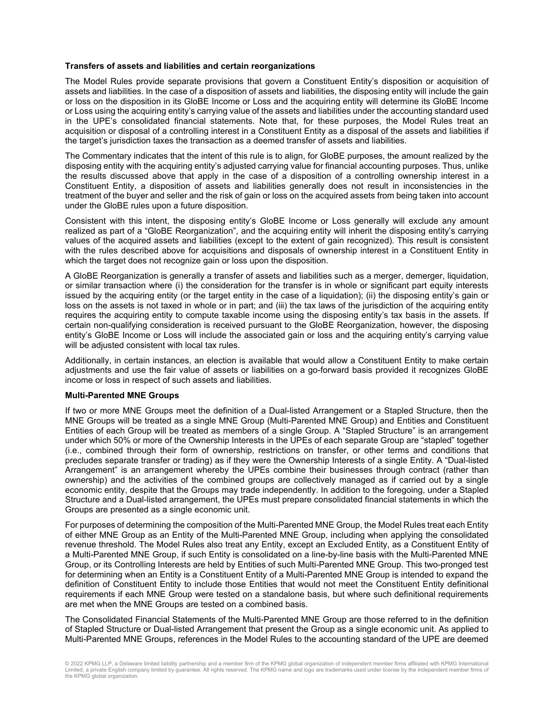#### **Transfers of assets and liabilities and certain reorganizations**

The Model Rules provide separate provisions that govern a Constituent Entity's disposition or acquisition of assets and liabilities. In the case of a disposition of assets and liabilities, the disposing entity will include the gain or loss on the disposition in its GloBE Income or Loss and the acquiring entity will determine its GloBE Income or Loss using the acquiring entity's carrying value of the assets and liabilities under the accounting standard used in the UPE's consolidated financial statements. Note that, for these purposes, the Model Rules treat an acquisition or disposal of a controlling interest in a Constituent Entity as a disposal of the assets and liabilities if the target's jurisdiction taxes the transaction as a deemed transfer of assets and liabilities.

The Commentary indicates that the intent of this rule is to align, for GloBE purposes, the amount realized by the disposing entity with the acquiring entity's adjusted carrying value for financial accounting purposes. Thus, unlike the results discussed above that apply in the case of a disposition of a controlling ownership interest in a Constituent Entity, a disposition of assets and liabilities generally does not result in inconsistencies in the treatment of the buyer and seller and the risk of gain or loss on the acquired assets from being taken into account under the GloBE rules upon a future disposition.

Consistent with this intent, the disposing entity's GloBE Income or Loss generally will exclude any amount realized as part of a "GloBE Reorganization", and the acquiring entity will inherit the disposing entity's carrying values of the acquired assets and liabilities (except to the extent of gain recognized). This result is consistent with the rules described above for acquisitions and disposals of ownership interest in a Constituent Entity in which the target does not recognize gain or loss upon the disposition.

A GloBE Reorganization is generally a transfer of assets and liabilities such as a merger, demerger, liquidation, or similar transaction where (i) the consideration for the transfer is in whole or significant part equity interests issued by the acquiring entity (or the target entity in the case of a liquidation); (ii) the disposing entity's gain or loss on the assets is not taxed in whole or in part; and (iii) the tax laws of the jurisdiction of the acquiring entity requires the acquiring entity to compute taxable income using the disposing entity's tax basis in the assets. If certain non-qualifying consideration is received pursuant to the GloBE Reorganization, however, the disposing entity's GloBE Income or Loss will include the associated gain or loss and the acquiring entity's carrying value will be adjusted consistent with local tax rules.

Additionally, in certain instances, an election is available that would allow a Constituent Entity to make certain adjustments and use the fair value of assets or liabilities on a go-forward basis provided it recognizes GloBE income or loss in respect of such assets and liabilities.

#### **Multi-Parented MNE Groups**

If two or more MNE Groups meet the definition of a Dual-listed Arrangement or a Stapled Structure, then the MNE Groups will be treated as a single MNE Group (Multi-Parented MNE Group) and Entities and Constituent Entities of each Group will be treated as members of a single Group. A "Stapled Structure" is an arrangement under which 50% or more of the Ownership Interests in the UPEs of each separate Group are "stapled" together (i.e., combined through their form of ownership, restrictions on transfer, or other terms and conditions that precludes separate transfer or trading) as if they were the Ownership Interests of a single Entity. A "Dual-listed Arrangement" is an arrangement whereby the UPEs combine their businesses through contract (rather than ownership) and the activities of the combined groups are collectively managed as if carried out by a single economic entity, despite that the Groups may trade independently. In addition to the foregoing, under a Stapled Structure and a Dual-listed arrangement, the UPEs must prepare consolidated financial statements in which the Groups are presented as a single economic unit.

For purposes of determining the composition of the Multi-Parented MNE Group, the Model Rules treat each Entity of either MNE Group as an Entity of the Multi-Parented MNE Group, including when applying the consolidated revenue threshold. The Model Rules also treat any Entity, except an Excluded Entity, as a Constituent Entity of a Multi-Parented MNE Group, if such Entity is consolidated on a line-by-line basis with the Multi-Parented MNE Group, or its Controlling Interests are held by Entities of such Multi-Parented MNE Group. This two-pronged test for determining when an Entity is a Constituent Entity of a Multi-Parented MNE Group is intended to expand the definition of Constituent Entity to include those Entities that would not meet the Constituent Entity definitional requirements if each MNE Group were tested on a standalone basis, but where such definitional requirements are met when the MNE Groups are tested on a combined basis.

The Consolidated Financial Statements of the Multi-Parented MNE Group are those referred to in the definition of Stapled Structure or Dual-listed Arrangement that present the Group as a single economic unit. As applied to Multi-Parented MNE Groups, references in the Model Rules to the accounting standard of the UPE are deemed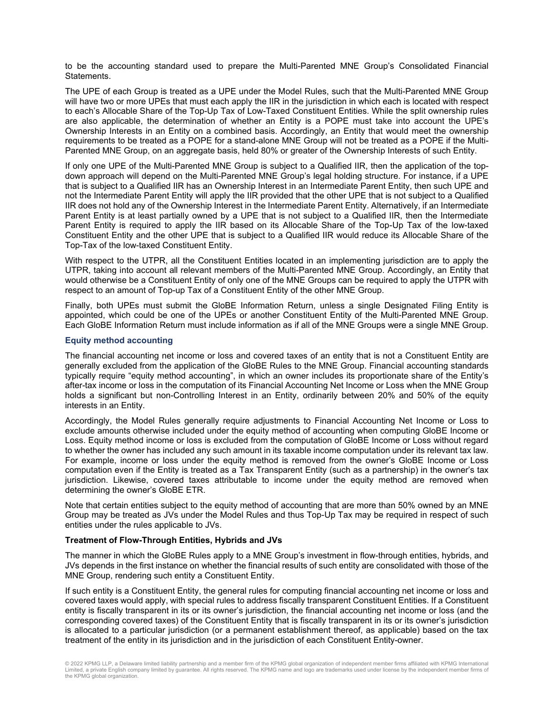to be the accounting standard used to prepare the Multi-Parented MNE Group's Consolidated Financial Statements.

The UPE of each Group is treated as a UPE under the Model Rules, such that the Multi-Parented MNE Group will have two or more UPEs that must each apply the IIR in the jurisdiction in which each is located with respect to each's Allocable Share of the Top-Up Tax of Low-Taxed Constituent Entities. While the split ownership rules are also applicable, the determination of whether an Entity is a POPE must take into account the UPE's Ownership Interests in an Entity on a combined basis. Accordingly, an Entity that would meet the ownership requirements to be treated as a POPE for a stand-alone MNE Group will not be treated as a POPE if the Multi-Parented MNE Group, on an aggregate basis, held 80% or greater of the Ownership Interests of such Entity.

If only one UPE of the Multi-Parented MNE Group is subject to a Qualified IIR, then the application of the topdown approach will depend on the Multi-Parented MNE Group's legal holding structure. For instance, if a UPE that is subject to a Qualified IIR has an Ownership Interest in an Intermediate Parent Entity, then such UPE and not the Intermediate Parent Entity will apply the IIR provided that the other UPE that is not subject to a Qualified IIR does not hold any of the Ownership Interest in the Intermediate Parent Entity. Alternatively, if an Intermediate Parent Entity is at least partially owned by a UPE that is not subject to a Qualified IIR, then the Intermediate Parent Entity is required to apply the IIR based on its Allocable Share of the Top-Up Tax of the low-taxed Constituent Entity and the other UPE that is subject to a Qualified IIR would reduce its Allocable Share of the Top-Tax of the low-taxed Constituent Entity.

With respect to the UTPR, all the Constituent Entities located in an implementing jurisdiction are to apply the UTPR, taking into account all relevant members of the Multi-Parented MNE Group. Accordingly, an Entity that would otherwise be a Constituent Entity of only one of the MNE Groups can be required to apply the UTPR with respect to an amount of Top-up Tax of a Constituent Entity of the other MNE Group.

Finally, both UPEs must submit the GloBE Information Return, unless a single Designated Filing Entity is appointed, which could be one of the UPEs or another Constituent Entity of the Multi-Parented MNE Group. Each GloBE Information Return must include information as if all of the MNE Groups were a single MNE Group.

#### **Equity method accounting**

The financial accounting net income or loss and covered taxes of an entity that is not a Constituent Entity are generally excluded from the application of the GloBE Rules to the MNE Group. Financial accounting standards typically require "equity method accounting", in which an owner includes its proportionate share of the Entity's after-tax income or loss in the computation of its Financial Accounting Net Income or Loss when the MNE Group holds a significant but non-Controlling Interest in an Entity, ordinarily between 20% and 50% of the equity interests in an Entity.

Accordingly, the Model Rules generally require adjustments to Financial Accounting Net Income or Loss to exclude amounts otherwise included under the equity method of accounting when computing GloBE Income or Loss. Equity method income or loss is excluded from the computation of GloBE Income or Loss without regard to whether the owner has included any such amount in its taxable income computation under its relevant tax law. For example, income or loss under the equity method is removed from the owner's GloBE Income or Loss computation even if the Entity is treated as a Tax Transparent Entity (such as a partnership) in the owner's tax jurisdiction. Likewise, covered taxes attributable to income under the equity method are removed when determining the owner's GloBE ETR.

Note that certain entities subject to the equity method of accounting that are more than 50% owned by an MNE Group may be treated as JVs under the Model Rules and thus Top-Up Tax may be required in respect of such entities under the rules applicable to JVs.

#### **Treatment of Flow-Through Entities, Hybrids and JVs**

The manner in which the GloBE Rules apply to a MNE Group's investment in flow-through entities, hybrids, and JVs depends in the first instance on whether the financial results of such entity are consolidated with those of the MNE Group, rendering such entity a Constituent Entity.

If such entity is a Constituent Entity, the general rules for computing financial accounting net income or loss and covered taxes would apply, with special rules to address fiscally transparent Constituent Entities. If a Constituent entity is fiscally transparent in its or its owner's jurisdiction, the financial accounting net income or loss (and the corresponding covered taxes) of the Constituent Entity that is fiscally transparent in its or its owner's jurisdiction is allocated to a particular jurisdiction (or a permanent establishment thereof, as applicable) based on the tax treatment of the entity in its jurisdiction and in the jurisdiction of each Constituent Entity-owner.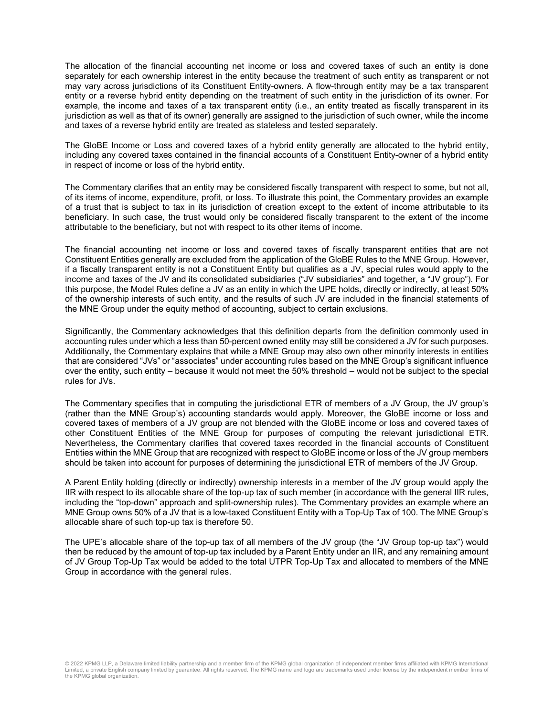The allocation of the financial accounting net income or loss and covered taxes of such an entity is done separately for each ownership interest in the entity because the treatment of such entity as transparent or not may vary across jurisdictions of its Constituent Entity-owners. A flow-through entity may be a tax transparent entity or a reverse hybrid entity depending on the treatment of such entity in the jurisdiction of its owner. For example, the income and taxes of a tax transparent entity (i.e., an entity treated as fiscally transparent in its jurisdiction as well as that of its owner) generally are assigned to the jurisdiction of such owner, while the income and taxes of a reverse hybrid entity are treated as stateless and tested separately.

The GloBE Income or Loss and covered taxes of a hybrid entity generally are allocated to the hybrid entity, including any covered taxes contained in the financial accounts of a Constituent Entity-owner of a hybrid entity in respect of income or loss of the hybrid entity.

The Commentary clarifies that an entity may be considered fiscally transparent with respect to some, but not all, of its items of income, expenditure, profit, or loss. To illustrate this point, the Commentary provides an example of a trust that is subject to tax in its jurisdiction of creation except to the extent of income attributable to its beneficiary. In such case, the trust would only be considered fiscally transparent to the extent of the income attributable to the beneficiary, but not with respect to its other items of income.

The financial accounting net income or loss and covered taxes of fiscally transparent entities that are not Constituent Entities generally are excluded from the application of the GloBE Rules to the MNE Group. However, if a fiscally transparent entity is not a Constituent Entity but qualifies as a JV, special rules would apply to the income and taxes of the JV and its consolidated subsidiaries ("JV subsidiaries" and together, a "JV group"). For this purpose, the Model Rules define a JV as an entity in which the UPE holds, directly or indirectly, at least 50% of the ownership interests of such entity, and the results of such JV are included in the financial statements of the MNE Group under the equity method of accounting, subject to certain exclusions.

Significantly, the Commentary acknowledges that this definition departs from the definition commonly used in accounting rules under which a less than 50-percent owned entity may still be considered a JV for such purposes. Additionally, the Commentary explains that while a MNE Group may also own other minority interests in entities that are considered "JVs" or "associates" under accounting rules based on the MNE Group's significant influence over the entity, such entity – because it would not meet the 50% threshold – would not be subject to the special rules for JVs.

The Commentary specifies that in computing the jurisdictional ETR of members of a JV Group, the JV group's (rather than the MNE Group's) accounting standards would apply. Moreover, the GloBE income or loss and covered taxes of members of a JV group are not blended with the GloBE income or loss and covered taxes of other Constituent Entities of the MNE Group for purposes of computing the relevant jurisdictional ETR. Nevertheless, the Commentary clarifies that covered taxes recorded in the financial accounts of Constituent Entities within the MNE Group that are recognized with respect to GloBE income or loss of the JV group members should be taken into account for purposes of determining the jurisdictional ETR of members of the JV Group.

A Parent Entity holding (directly or indirectly) ownership interests in a member of the JV group would apply the IIR with respect to its allocable share of the top-up tax of such member (in accordance with the general IIR rules, including the "top-down" approach and split-ownership rules). The Commentary provides an example where an MNE Group owns 50% of a JV that is a low-taxed Constituent Entity with a Top-Up Tax of 100. The MNE Group's allocable share of such top-up tax is therefore 50.

The UPE's allocable share of the top-up tax of all members of the JV group (the "JV Group top-up tax") would then be reduced by the amount of top-up tax included by a Parent Entity under an IIR, and any remaining amount of JV Group Top-Up Tax would be added to the total UTPR Top-Up Tax and allocated to members of the MNE Group in accordance with the general rules.

© 2022 KPMG LLP, a Delaware limited liability partnership and a member firm of the KPMG global organization of independent member firms affiliated with KPMG International Limited, a private English company limited by guarantee. All rights reserved. The KPMG name and logo are trademarks used under license by the independent member firms of the KPMG global organization.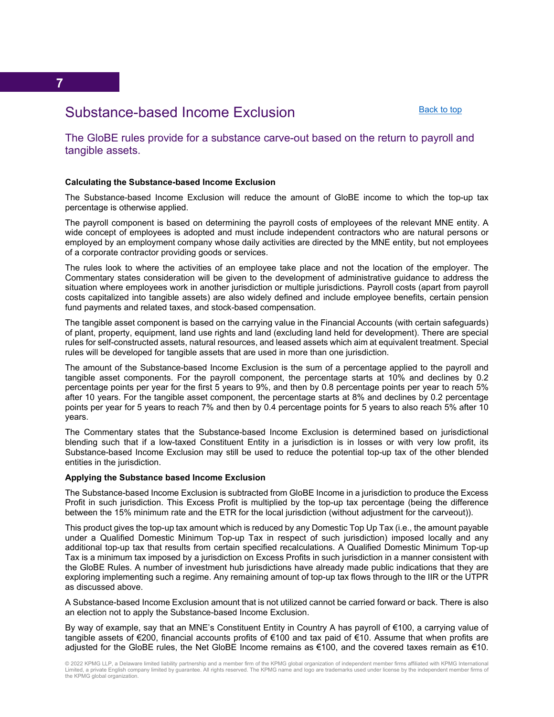[Back to top](#page-0-0)

# <span id="page-12-0"></span>Substance-based Income Exclusion

The GloBE rules provide for a substance carve-out based on the return to payroll and tangible assets.

#### **Calculating the Substance-based Income Exclusion**

The Substance-based Income Exclusion will reduce the amount of GloBE income to which the top-up tax percentage is otherwise applied.

The payroll component is based on determining the payroll costs of employees of the relevant MNE entity. A wide concept of employees is adopted and must include independent contractors who are natural persons or employed by an employment company whose daily activities are directed by the MNE entity, but not employees of a corporate contractor providing goods or services.

The rules look to where the activities of an employee take place and not the location of the employer. The Commentary states consideration will be given to the development of administrative guidance to address the situation where employees work in another jurisdiction or multiple jurisdictions. Payroll costs (apart from payroll costs capitalized into tangible assets) are also widely defined and include employee benefits, certain pension fund payments and related taxes, and stock-based compensation.

The tangible asset component is based on the carrying value in the Financial Accounts (with certain safeguards) of plant, property, equipment, land use rights and land (excluding land held for development). There are special rules for self-constructed assets, natural resources, and leased assets which aim at equivalent treatment. Special rules will be developed for tangible assets that are used in more than one jurisdiction.

The amount of the Substance-based Income Exclusion is the sum of a percentage applied to the payroll and tangible asset components. For the payroll component, the percentage starts at 10% and declines by 0.2 percentage points per year for the first 5 years to 9%, and then by 0.8 percentage points per year to reach 5% after 10 years. For the tangible asset component, the percentage starts at 8% and declines by 0.2 percentage points per year for 5 years to reach 7% and then by 0.4 percentage points for 5 years to also reach 5% after 10 years.

The Commentary states that the Substance-based Income Exclusion is determined based on jurisdictional blending such that if a low-taxed Constituent Entity in a jurisdiction is in losses or with very low profit, its Substance-based Income Exclusion may still be used to reduce the potential top-up tax of the other blended entities in the jurisdiction.

#### **Applying the Substance based Income Exclusion**

The Substance-based Income Exclusion is subtracted from GloBE Income in a jurisdiction to produce the Excess Profit in such jurisdiction. This Excess Profit is multiplied by the top-up tax percentage (being the difference between the 15% minimum rate and the ETR for the local jurisdiction (without adjustment for the carveout)).

This product gives the top-up tax amount which is reduced by any Domestic Top Up Tax (i.e., the amount payable under a Qualified Domestic Minimum Top-up Tax in respect of such jurisdiction) imposed locally and any additional top-up tax that results from certain specified recalculations. A Qualified Domestic Minimum Top-up Tax is a minimum tax imposed by a jurisdiction on Excess Profits in such jurisdiction in a manner consistent with the GloBE Rules. A number of investment hub jurisdictions have already made public indications that they are exploring implementing such a regime. Any remaining amount of top-up tax flows through to the IIR or the UTPR as discussed above.

A Substance-based Income Exclusion amount that is not utilized cannot be carried forward or back. There is also an election not to apply the Substance-based Income Exclusion.

By way of example, say that an MNE's Constituent Entity in Country A has payroll of €100, a carrying value of tangible assets of €200, financial accounts profits of €100 and tax paid of €10. Assume that when profits are adjusted for the GloBE rules, the Net GloBE Income remains as €100, and the covered taxes remain as €10.

© 2022 KPMG LLP, a Delaware limited liability partnership and a member firm of the KPMG global organization of independent member firms affiliated with KPMG International Limited, a private English company limited by guarantee. All rights reserved. The KPMG name and logo are trademarks used under license by the independent member firms of the KPMG global organization.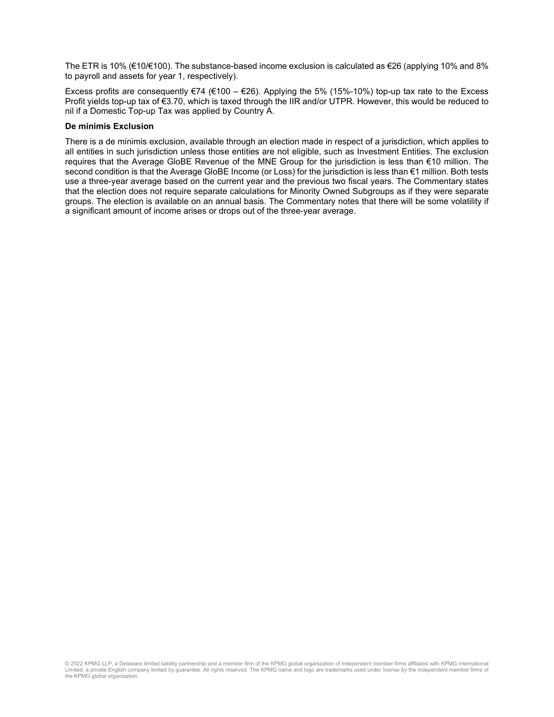The ETR is 10% (€10/€100). The substance-based income exclusion is calculated as €26 (applying 10% and 8% to payroll and assets for year 1, respectively).

Excess profits are consequently  $\epsilon$ 74 ( $\epsilon$ 100 –  $\epsilon$ 26). Applying the 5% (15%-10%) top-up tax rate to the Excess Profit yields top-up tax of €3.70, which is taxed through the IIR and/or UTPR. However, this would be reduced to nil if a Domestic Top-up Tax was applied by Country A.

#### **De minimis Exclusion**

There is a de minimis exclusion, available through an election made in respect of a jurisdiction, which applies to all entities in such jurisdiction unless those entities are not eligible, such as Investment Entities. The exclusion requires that the Average GloBE Revenue of the MNE Group for the jurisdiction is less than €10 million. The second condition is that the Average GloBE Income (or Loss) for the jurisdiction is less than €1 million. Both tests use a three-year average based on the current year and the previous two fiscal years. The Commentary states that the election does not require separate calculations for Minority Owned Subgroups as if they were separate groups. The election is available on an annual basis. The Commentary notes that there will be some volatility if a significant amount of income arises or drops out of the three-year average.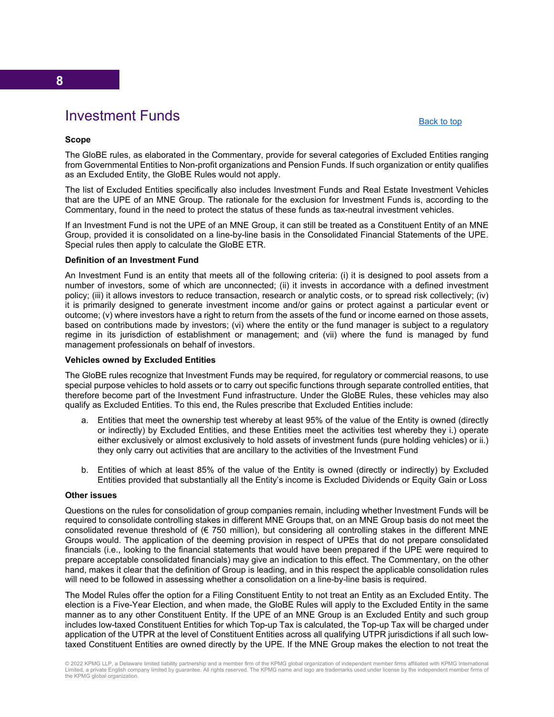# Investment Funds

[Back to top](#page-0-0)

#### <span id="page-14-0"></span>**Scope**

The GloBE rules, as elaborated in the Commentary, provide for several categories of Excluded Entities ranging from Governmental Entities to Non-profit organizations and Pension Funds. If such organization or entity qualifies as an Excluded Entity, the GloBE Rules would not apply.

The list of Excluded Entities specifically also includes Investment Funds and Real Estate Investment Vehicles that are the UPE of an MNE Group. The rationale for the exclusion for Investment Funds is, according to the Commentary, found in the need to protect the status of these funds as tax-neutral investment vehicles.

If an Investment Fund is not the UPE of an MNE Group, it can still be treated as a Constituent Entity of an MNE Group, provided it is consolidated on a line-by-line basis in the Consolidated Financial Statements of the UPE. Special rules then apply to calculate the GloBE ETR.

#### **Definition of an Investment Fund**

An Investment Fund is an entity that meets all of the following criteria: (i) it is designed to pool assets from a number of investors, some of which are unconnected; (ii) it invests in accordance with a defined investment policy; (iii) it allows investors to reduce transaction, research or analytic costs, or to spread risk collectively; (iv) it is primarily designed to generate investment income and/or gains or protect against a particular event or outcome; (v) where investors have a right to return from the assets of the fund or income earned on those assets, based on contributions made by investors; (vi) where the entity or the fund manager is subject to a regulatory regime in its jurisdiction of establishment or management; and (vii) where the fund is managed by fund management professionals on behalf of investors.

#### **Vehicles owned by Excluded Entities**

The GloBE rules recognize that Investment Funds may be required, for regulatory or commercial reasons, to use special purpose vehicles to hold assets or to carry out specific functions through separate controlled entities, that therefore become part of the Investment Fund infrastructure. Under the GloBE Rules, these vehicles may also qualify as Excluded Entities. To this end, the Rules prescribe that Excluded Entities include:

- a. Entities that meet the ownership test whereby at least 95% of the value of the Entity is owned (directly or indirectly) by Excluded Entities, and these Entities meet the activities test whereby they i.) operate either exclusively or almost exclusively to hold assets of investment funds (pure holding vehicles) or ii.) they only carry out activities that are ancillary to the activities of the Investment Fund
- b. Entities of which at least 85% of the value of the Entity is owned (directly or indirectly) by Excluded Entities provided that substantially all the Entity's income is Excluded Dividends or Equity Gain or Loss

#### **Other issues**

Questions on the rules for consolidation of group companies remain, including whether Investment Funds will be required to consolidate controlling stakes in different MNE Groups that, on an MNE Group basis do not meet the consolidated revenue threshold of ( $\epsilon$  750 million), but considering all controlling stakes in the different MNE Groups would. The application of the deeming provision in respect of UPEs that do not prepare consolidated financials (i.e., looking to the financial statements that would have been prepared if the UPE were required to prepare acceptable consolidated financials) may give an indication to this effect. The Commentary, on the other hand, makes it clear that the definition of Group is leading, and in this respect the applicable consolidation rules will need to be followed in assessing whether a consolidation on a line-by-line basis is required.

The Model Rules offer the option for a Filing Constituent Entity to not treat an Entity as an Excluded Entity. The election is a Five-Year Election, and when made, the GloBE Rules will apply to the Excluded Entity in the same manner as to any other Constituent Entity. If the UPE of an MNE Group is an Excluded Entity and such group includes low-taxed Constituent Entities for which Top-up Tax is calculated, the Top-up Tax will be charged under application of the UTPR at the level of Constituent Entities across all qualifying UTPR jurisdictions if all such lowtaxed Constituent Entities are owned directly by the UPE. If the MNE Group makes the election to not treat the

<sup>© 2022</sup> KPMG LLP, a Delaware limited liability partnership and a member firm of the KPMG global organization of independent member firms affiliated with KPMG International Limited, a private English company limited by guarantee. All rights reserved. The KPMG name and logo are trademarks used under license by the independent member firms of the KPMG global organization.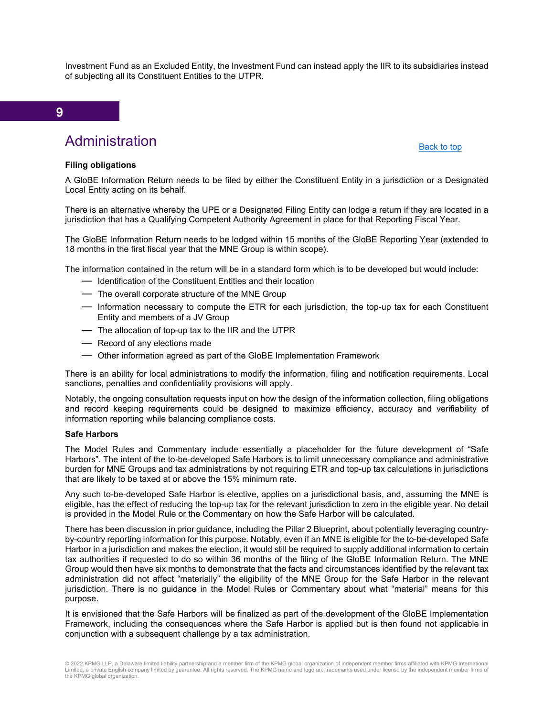Investment Fund as an Excluded Entity, the Investment Fund can instead apply the IIR to its subsidiaries instead of subjecting all its Constituent Entities to the UTPR.

#### **9**

# Administration

#### [Back to top](#page-0-0)

#### <span id="page-15-0"></span>**Filing obligations**

A GloBE Information Return needs to be filed by either the Constituent Entity in a jurisdiction or a Designated Local Entity acting on its behalf.

There is an alternative whereby the UPE or a Designated Filing Entity can lodge a return if they are located in a jurisdiction that has a Qualifying Competent Authority Agreement in place for that Reporting Fiscal Year.

The GloBE Information Return needs to be lodged within 15 months of the GloBE Reporting Year (extended to 18 months in the first fiscal year that the MNE Group is within scope).

The information contained in the return will be in a standard form which is to be developed but would include:

- ― Identification of the Constituent Entities and their location
- ― The overall corporate structure of the MNE Group
- ― Information necessary to compute the ETR for each jurisdiction, the top-up tax for each Constituent Entity and members of a JV Group
- ― The allocation of top-up tax to the IIR and the UTPR
- ― Record of any elections made
- ― Other information agreed as part of the GloBE Implementation Framework

There is an ability for local administrations to modify the information, filing and notification requirements. Local sanctions, penalties and confidentiality provisions will apply.

Notably, the ongoing consultation requests input on how the design of the information collection, filing obligations and record keeping requirements could be designed to maximize efficiency, accuracy and verifiability of information reporting while balancing compliance costs.

#### **Safe Harbors**

The Model Rules and Commentary include essentially a placeholder for the future development of "Safe Harbors". The intent of the to-be-developed Safe Harbors is to limit unnecessary compliance and administrative burden for MNE Groups and tax administrations by not requiring ETR and top-up tax calculations in jurisdictions that are likely to be taxed at or above the 15% minimum rate.

Any such to-be-developed Safe Harbor is elective, applies on a jurisdictional basis, and, assuming the MNE is eligible, has the effect of reducing the top-up tax for the relevant jurisdiction to zero in the eligible year. No detail is provided in the Model Rule or the Commentary on how the Safe Harbor will be calculated.

There has been discussion in prior guidance, including the Pillar 2 Blueprint, about potentially leveraging countryby-country reporting information for this purpose. Notably, even if an MNE is eligible for the to-be-developed Safe Harbor in a jurisdiction and makes the election, it would still be required to supply additional information to certain tax authorities if requested to do so within 36 months of the filing of the GloBE Information Return. The MNE Group would then have six months to demonstrate that the facts and circumstances identified by the relevant tax administration did not affect "materially" the eligibility of the MNE Group for the Safe Harbor in the relevant jurisdiction. There is no guidance in the Model Rules or Commentary about what "material" means for this purpose.

It is envisioned that the Safe Harbors will be finalized as part of the development of the GloBE Implementation Framework, including the consequences where the Safe Harbor is applied but is then found not applicable in conjunction with a subsequent challenge by a tax administration.

<sup>© 2022</sup> KPMG LLP, a Delaware limited liability partnership and a member firm of the KPMG global organization of independent member firms affiliated with KPMG International Limited, a private English company limited by guarantee. All rights reserved. The KPMG name and logo are trademarks used under license by the independent member firms of the KPMG global organization.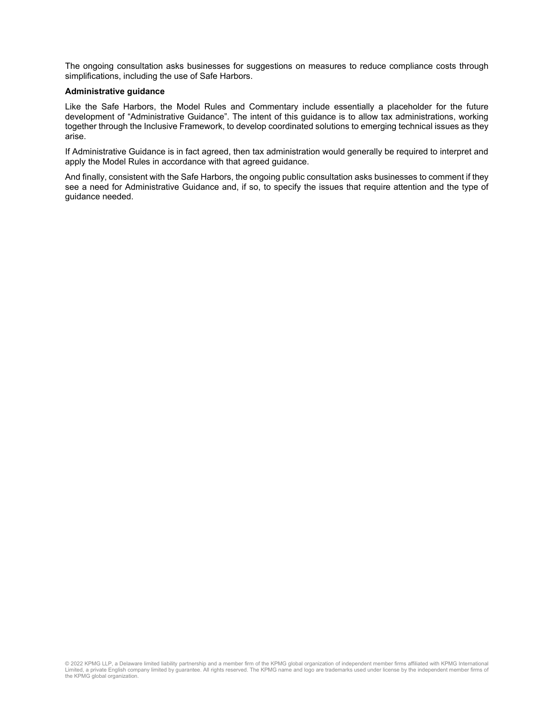The ongoing consultation asks businesses for suggestions on measures to reduce compliance costs through simplifications, including the use of Safe Harbors.

#### **Administrative guidance**

Like the Safe Harbors, the Model Rules and Commentary include essentially a placeholder for the future development of "Administrative Guidance". The intent of this guidance is to allow tax administrations, working together through the Inclusive Framework, to develop coordinated solutions to emerging technical issues as they arise.

If Administrative Guidance is in fact agreed, then tax administration would generally be required to interpret and apply the Model Rules in accordance with that agreed guidance.

And finally, consistent with the Safe Harbors, the ongoing public consultation asks businesses to comment if they see a need for Administrative Guidance and, if so, to specify the issues that require attention and the type of guidance needed.

© 2022 KPMG LLP, a Delaware limited liability partnership and a member firm of the KPMG global organization of independent member firms affiliated with KPMG International<br>Limited, a private English company limited by guara the KPMG global organization.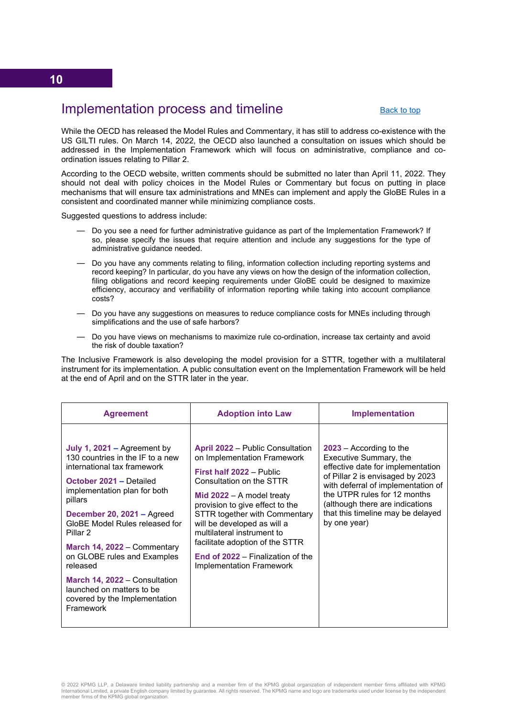# <span id="page-17-0"></span>Implementation process and timeline

#### [Back to top](#page-0-1)

While the OECD has released the Model Rules and Commentary, it has still to address co-existence with the US GILTI rules. On March 14, 2022, the OECD also launched a consultation on issues which should be addressed in the Implementation Framework which will focus on administrative, compliance and coordination issues relating to Pillar 2.

According to the OECD website, written comments should be submitted no later than April 11, 2022. They should not deal with policy choices in the Model Rules or Commentary but focus on putting in place mechanisms that will ensure tax administrations and MNEs can implement and apply the GloBE Rules in a consistent and coordinated manner while minimizing compliance costs.

Suggested questions to address include:

- ― Do you see a need for further administrative guidance as part of the Implementation Framework? If so, please specify the issues that require attention and include any suggestions for the type of administrative guidance needed.
- ― Do you have any comments relating to filing, information collection including reporting systems and record keeping? In particular, do you have any views on how the design of the information collection, filing obligations and record keeping requirements under GloBE could be designed to maximize efficiency, accuracy and verifiability of information reporting while taking into account compliance costs?
- ― Do you have any suggestions on measures to reduce compliance costs for MNEs including through simplifications and the use of safe harbors?
- ― Do you have views on mechanisms to maximize rule co-ordination, increase tax certainty and avoid the risk of double taxation?

The Inclusive Framework is also developing the model provision for a STTR, together with a multilateral instrument for its implementation. A public consultation event on the Implementation Framework will be held at the end of April and on the STTR later in the year.

| <b>Agreement</b>                                                                                                                                                                                                                                                                                                                                                                                                                       | <b>Adoption into Law</b>                                                                                                                                                                                                                                                                                                                                                                                         | <b>Implementation</b>                                                                                                                                                                                                                                                                      |
|----------------------------------------------------------------------------------------------------------------------------------------------------------------------------------------------------------------------------------------------------------------------------------------------------------------------------------------------------------------------------------------------------------------------------------------|------------------------------------------------------------------------------------------------------------------------------------------------------------------------------------------------------------------------------------------------------------------------------------------------------------------------------------------------------------------------------------------------------------------|--------------------------------------------------------------------------------------------------------------------------------------------------------------------------------------------------------------------------------------------------------------------------------------------|
| July 1, 2021 – Agreement by<br>130 countries in the IF to a new<br>international tax framework<br>October 2021 - Detailed<br>implementation plan for both<br>pillars<br>December 20, 2021 - Agreed<br>GloBE Model Rules released for<br>Pillar 2<br>March 14, 2022 - Commentary<br>on GLOBE rules and Examples<br>released<br>March 14, 2022 – Consultation<br>launched on matters to be<br>covered by the Implementation<br>Framework | <b>April 2022</b> – Public Consultation<br>on Implementation Framework<br>First half 2022 - Public<br>Consultation on the STTR<br>Mid $2022 - A$ model treaty<br>provision to give effect to the<br><b>STTR together with Commentary</b><br>will be developed as will a<br>multilateral instrument to<br>facilitate adoption of the STTR<br>End of 2022 – Finalization of the<br><b>Implementation Framework</b> | $2023$ – According to the<br>Executive Summary, the<br>effective date for implementation<br>of Pillar 2 is envisaged by 2023<br>with deferral of implementation of<br>the UTPR rules for 12 months<br>(although there are indications<br>that this timeline may be delayed<br>by one year) |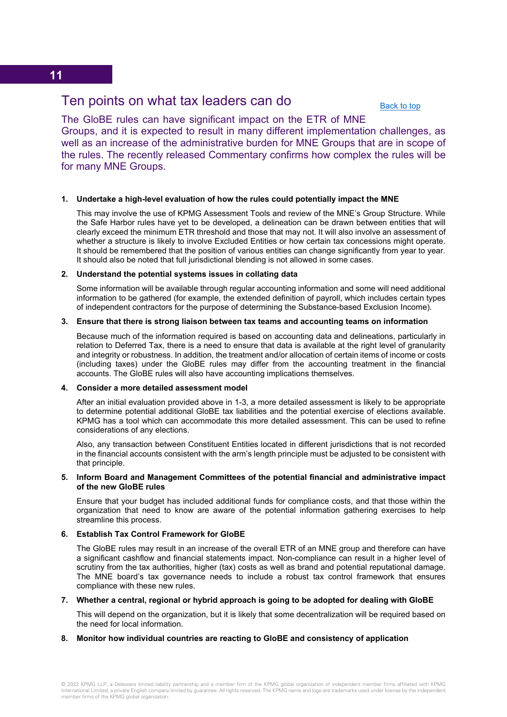## <span id="page-18-0"></span>Ten points on what tax leaders can do

[Back to top](#page-0-1)

The GloBE rules can have significant impact on the ETR of MNE Groups, and it is expected to result in many different implementation challenges, as well as an increase of the administrative burden for MNE Groups that are in scope of the rules. The recently released Commentary confirms how complex the rules will be for many MNE Groups.

#### **1. Undertake a high-level evaluation of how the rules could potentially impact the MNE**

This may involve the use of KPMG Assessment Tools and review of the MNE's Group Structure. While the Safe Harbor rules have yet to be developed, a delineation can be drawn between entities that will clearly exceed the minimum ETR threshold and those that may not. It will also involve an assessment of whether a structure is likely to involve Excluded Entities or how certain tax concessions might operate. It should be remembered that the position of various entities can change significantly from year to year. It should also be noted that full jurisdictional blending is not allowed in some cases.

#### **2. Understand the potential systems issues in collating data**

Some information will be available through regular accounting information and some will need additional information to be gathered (for example, the extended definition of payroll, which includes certain types of independent contractors for the purpose of determining the Substance-based Exclusion Income).

#### **3. Ensure that there is strong liaison between tax teams and accounting teams on information**

Because much of the information required is based on accounting data and delineations, particularly in relation to Deferred Tax, there is a need to ensure that data is available at the right level of granularity and integrity or robustness. In addition, the treatment and/or allocation of certain items of income or costs (including taxes) under the GloBE rules may differ from the accounting treatment in the financial accounts. The GloBE rules will also have accounting implications themselves.

#### **4. Consider a more detailed assessment model**

After an initial evaluation provided above in 1-3, a more detailed assessment is likely to be appropriate to determine potential additional GloBE tax liabilities and the potential exercise of elections available. KPMG has a tool which can accommodate this more detailed assessment. This can be used to refine considerations of any elections.

Also, any transaction between Constituent Entities located in different jurisdictions that is not recorded in the financial accounts consistent with the arm's length principle must be adjusted to be consistent with that principle.

#### **5. Inform Board and Management Committees of the potential financial and administrative impact of the new GloBE rules**

Ensure that your budget has included additional funds for compliance costs, and that those within the organization that need to know are aware of the potential information gathering exercises to help streamline this process.

#### **6. Establish Tax Control Framework for GloBE**

The GloBE rules may result in an increase of the overall ETR of an MNE group and therefore can have a significant cashflow and financial statements impact. Non-compliance can result in a higher level of scrutiny from the tax authorities, higher (tax) costs as well as brand and potential reputational damage. The MNE board's tax governance needs to include a robust tax control framework that ensures compliance with these new rules.

#### **7. Whether a central, regional or hybrid approach is going to be adopted for dealing with GloBE**

This will depend on the organization, but it is likely that some decentralization will be required based on the need for local information.

#### **8. Monitor how individual countries are reacting to GloBE and consistency of application**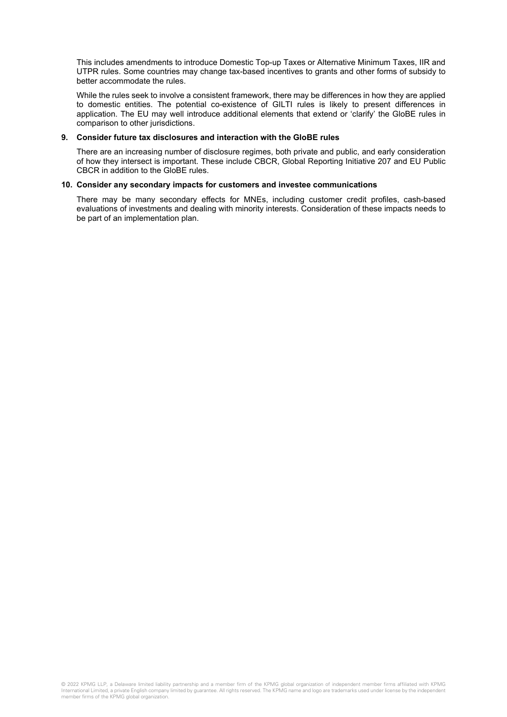This includes amendments to introduce Domestic Top-up Taxes or Alternative Minimum Taxes, IIR and UTPR rules. Some countries may change tax-based incentives to grants and other forms of subsidy to better accommodate the rules.

While the rules seek to involve a consistent framework, there may be differences in how they are applied to domestic entities. The potential co-existence of GILTI rules is likely to present differences in application. The EU may well introduce additional elements that extend or 'clarify' the GloBE rules in comparison to other jurisdictions.

#### **9. Consider future tax disclosures and interaction with the GloBE rules**

There are an increasing number of disclosure regimes, both private and public, and early consideration of how they intersect is important. These include CBCR, Global Reporting Initiative 207 and EU Public CBCR in addition to the GloBE rules.

#### **10. Consider any secondary impacts for customers and investee communications**

There may be many secondary effects for MNEs, including customer credit profiles, cash-based evaluations of investments and dealing with minority interests. Consideration of these impacts needs to be part of an implementation plan.